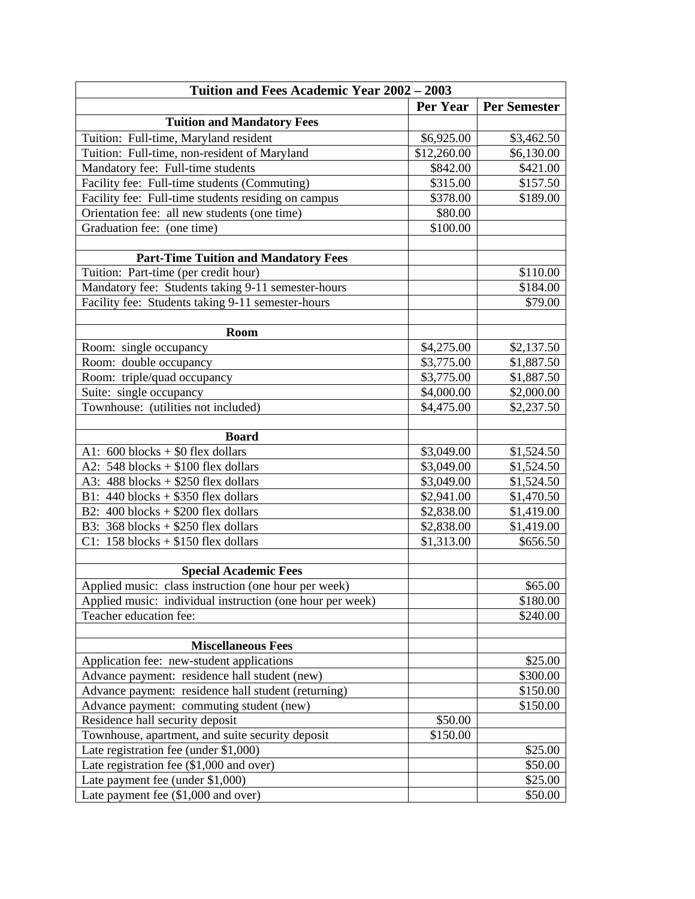| Tuition and Fees Academic Year 2002 - 2003                |                        |                     |  |
|-----------------------------------------------------------|------------------------|---------------------|--|
|                                                           | <b>Per Year</b>        | <b>Per Semester</b> |  |
| <b>Tuition and Mandatory Fees</b>                         |                        |                     |  |
| Tuition: Full-time, Maryland resident                     | \$6,925.00             | \$3,462.50          |  |
| Tuition: Full-time, non-resident of Maryland              | \$12,260.00            | \$6,130.00          |  |
| Mandatory fee: Full-time students                         | \$842.00               | \$421.00            |  |
| Facility fee: Full-time students (Commuting)              | \$315.00               | \$157.50            |  |
| Facility fee: Full-time students residing on campus       | \$378.00               | \$189.00            |  |
| Orientation fee: all new students (one time)              | \$80.00                |                     |  |
| Graduation fee: (one time)                                | \$100.00               |                     |  |
|                                                           |                        |                     |  |
| <b>Part-Time Tuition and Mandatory Fees</b>               |                        |                     |  |
| Tuition: Part-time (per credit hour)                      |                        | \$110.00            |  |
| Mandatory fee: Students taking 9-11 semester-hours        |                        | \$184.00            |  |
| Facility fee: Students taking 9-11 semester-hours         |                        | \$79.00             |  |
|                                                           |                        |                     |  |
| Room                                                      |                        |                     |  |
| Room: single occupancy                                    | \$4,275.00             | \$2,137.50          |  |
| Room: double occupancy                                    | \$3,775.00             | \$1,887.50          |  |
| Room: triple/quad occupancy                               | \$3,775.00             | \$1,887.50          |  |
| Suite: single occupancy                                   | \$4,000.00             | \$2,000.00          |  |
| Townhouse: (utilities not included)                       | \$4,475.00             | \$2,237.50          |  |
|                                                           |                        |                     |  |
| <b>Board</b>                                              |                        |                     |  |
| A1: $600$ blocks + \$0 flex dollars                       | \$3,049.00             | \$1,524.50          |  |
| A2: $548$ blocks + \$100 flex dollars                     | \$3,049.00             | \$1,524.50          |  |
| A3: $488$ blocks + \$250 flex dollars                     | \$3,049.00             | \$1,524.50          |  |
| B1: $440$ blocks + \$350 flex dollars                     | \$2,941.00             | \$1,470.50          |  |
| B2: $400$ blocks + \$200 flex dollars                     | \$2,838.00             | \$1,419.00          |  |
| B3: $368$ blocks + \$250 flex dollars                     | $\overline{$}2,838.00$ | \$1,419.00          |  |
| C1: $158$ blocks + \$150 flex dollars                     | \$1,313.00             | \$656.50            |  |
|                                                           |                        |                     |  |
| <b>Special Academic Fees</b>                              |                        |                     |  |
| Applied music: class instruction (one hour per week)      |                        | \$65.00             |  |
| Applied music: individual instruction (one hour per week) |                        | \$180.00            |  |
| Teacher education fee:                                    |                        | \$240.00            |  |
|                                                           |                        |                     |  |
| <b>Miscellaneous Fees</b>                                 |                        |                     |  |
| Application fee: new-student applications                 |                        | \$25.00             |  |
| Advance payment: residence hall student (new)             |                        | \$300.00            |  |
| Advance payment: residence hall student (returning)       |                        | \$150.00            |  |
| Advance payment: commuting student (new)                  |                        | \$150.00            |  |
| Residence hall security deposit                           | \$50.00                |                     |  |
| Townhouse, apartment, and suite security deposit          | \$150.00               |                     |  |
| Late registration fee (under \$1,000)                     |                        | \$25.00             |  |
| Late registration fee $(\$1,000$ and over)                |                        | \$50.00             |  |
| Late payment fee (under \$1,000)                          |                        | \$25.00             |  |
| Late payment fee (\$1,000 and over)                       |                        | \$50.00             |  |